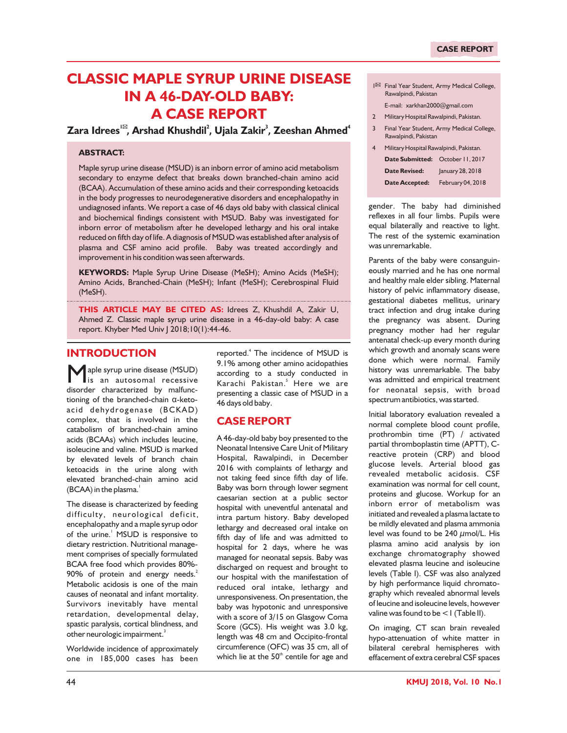# **CLASSIC MAPLE SYRUP URINE DISEASE IN A 46-DAY-OLD BABY: A CASE REPORT**

**1 2 <sup>3</sup> <sup>4</sup> Zara Idrees , Arshad Khushdil , Ujala Zakir , Zeeshan Ahmed**

## **ABSTRACT:**

Maple syrup urine disease (MSUD) is an inborn error of amino acid metabolism secondary to enzyme defect that breaks down branched-chain amino acid (BCAA). Accumulation of these amino acids and their corresponding ketoacids in the body progresses to neurodegenerative disorders and encephalopathy in undiagnosed infants. We report a case of 46 days old baby with classical clinical and biochemical findings consistent with MSUD. Baby was investigated for inborn error of metabolism after he developed lethargy and his oral intake reduced on fifth day of life. A diagnosis of MSUD was established after analysis of plasma and CSF amino acid profile. Baby was treated accordingly and improvement in his condition was seen afterwards.

**KEYWORDS:** Maple Syrup Urine Disease (MeSH); Amino Acids (MeSH); Amino Acids, Branched-Chain (MeSH); Infant (MeSH); Cerebrospinal Fluid (MeSH).

**THIS ARTICLE MAY BE CITED AS:** Idrees Z, Khushdil A, Zakir U, Ahmed Z. Classic maple syrup urine disease in a 46-day-old baby: A case report. Khyber Med Univ J 2018;10(1):44-46.

# **INTRODUCTION**

Maple syrup urine disease (MSUD) is an autosomal recessive disorder characterized by malfunctioning of the branched-chain  $\alpha$ -ketoacid dehydrogenase (BCKAD) complex, that is involved in the catabolism of branched-chain amino acids (BCAAs) which includes leucine, isoleucine and valine. MSUD is marked by elevated levels of branch chain ketoacids in the urine along with elevated branched-chain amino acid  $(BCAA)$  in the plasma.<sup>1</sup>

The disease is characterized by feeding difficulty, neurological deficit, encephalopathy and a maple syrup odor of the urine.<sup>1</sup> MSUD is responsive to dietary restriction. Nutritional management comprises of specially formulated BCAA free food which provides 80%-  $90\%$  of protein and energy needs.<sup>2</sup> Metabolic acidosis is one of the main causes of neonatal and infant mortality. Survivors inevitably have mental retardation, developmental delay, spastic paralysis, cortical blindness, and other neurologic impairment. $^3$ 

Worldwide incidence of approximately one in 185,000 cases has been

reported.<sup>4</sup> The incidence of MSUD is 9.1% among other amino acidopathies according to a study conducted in Karachi Pakistan.<sup>5</sup> Here we are presenting a classic case of MSUD in a 46 days old baby.

## **CASE REPORT**

A 46-day-old baby boy presented to the Neonatal Intensive Care Unit of Military Hospital, Rawalpindi, in December 2016 with complaints of lethargy and not taking feed since fifth day of life. Baby was born through lower segment caesarian section at a public sector hospital with uneventful antenatal and intra partum history. Baby developed lethargy and decreased oral intake on fifth day of life and was admitted to hospital for 2 days, where he was managed for neonatal sepsis. Baby was discharged on request and brought to our hospital with the manifestation of reduced oral intake, lethargy and unresponsiveness. On presentation, the baby was hypotonic and unresponsive with a score of 3/15 on Glasgow Coma Score (GCS). His weight was 3.0 kg, length was 48 cm and Occipito-frontal circumference (OFC) was 35 cm, all of which lie at the  $50<sup>th</sup>$  centile for age and

- 1 Final Year Student, Army Medical College, Rawalpindi, Pakistan
- E-mail: xarkhan2000@gmail.com
- 2 Military Hospital Rawalpindi, Pakistan.
- 3 Final Year Student, Army Medical College, Rawalpindi, Pakistan
- 4 Military Hospital Rawalpindi, Pakistan. **Date Submitted:** October 11, 2017 **Date Revised:** January 28, 2018 **Date Accepted:** February 04, 2018

gender. The baby had diminished reflexes in all four limbs. Pupils were equal bilaterally and reactive to light. The rest of the systemic examination was unremarkable.

Parents of the baby were consanguineously married and he has one normal and healthy male elder sibling. Maternal history of pelvic inflammatory disease, gestational diabetes mellitus, urinary tract infection and drug intake during the pregnancy was absent. During pregnancy mother had her regular antenatal check-up every month during which growth and anomaly scans were done which were normal. Family history was unremarkable. The baby was admitted and empirical treatment for neonatal sepsis, with broad spectrum antibiotics, was started.

Initial laboratory evaluation revealed a normal complete blood count profile, prothrombin time (PT) / activated partial thromboplastin time (APTT), Creactive protein (CRP) and blood glucose levels. Arterial blood gas revealed metabolic acidosis. CSF examination was normal for cell count, proteins and glucose. Workup for an inborn error of metabolism was initiated and revealed a plasma lactate to be mildly elevated and plasma ammonia level was found to be  $240 \mu$ mol/L. His plasma amino acid analysis by ion exchange chromatography showed elevated plasma leucine and isoleucine levels (Table I). CSF was also analyzed by high performance liquid chromatography which revealed abnormal levels of leucine and isoleucine levels, however valine was found to be <1 (Table II).

On imaging, CT scan brain revealed hypo-attenuation of white matter in bilateral cerebral hemispheres with effacement of extra cerebral CSF spaces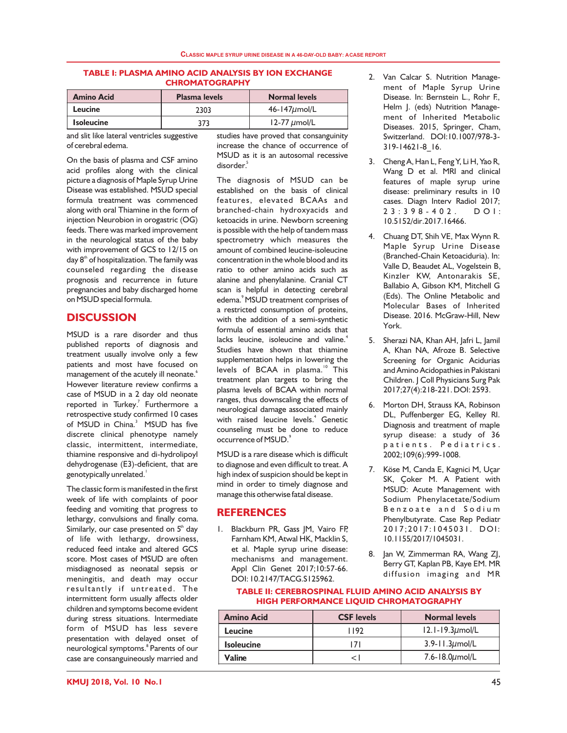#### **TABLE I: PLASMA AMINO ACID ANALYSIS BY ION EXCHANGE CHROMATOGRAPHY**

| <b>Amino Acid</b> | <b>Plasma levels</b> | <b>Normal levels</b> |
|-------------------|----------------------|----------------------|
| Leucine           | 2303                 | $46 - 147 \mu$ mol/L |
| <b>Isoleucine</b> | 373                  | $12-77 \mu$ mol/L    |

and slit like lateral ventricles suggestive of cerebral edema.

On the basis of plasma and CSF amino acid profiles along with the clinical picture a diagnosis of Maple Syrup Urine Disease was established. MSUD special formula treatment was commenced along with oral Thiamine in the form of injection Neurobion in orogastric (OG) feeds. There was marked improvement in the neurological status of the baby with improvement of GCS to 12/15 on day 8<sup>th</sup> of hospitalization. The family was counseled regarding the disease prognosis and recurrence in future pregnancies and baby discharged home on MSUD special formula.

## **DISCUSSION**

MSUD is a rare disorder and thus published reports of diagnosis and treatment usually involve only a few patients and most have focused on management of the acutely ill neonate.<sup>6</sup> However literature review confirms a case of MSUD in a 2 day old neonate reported in Turkey.<sup>7</sup> Furthermore a retrospective study confirmed 10 cases of MSUD in China.<sup>3</sup> MSUD has five discrete clinical phenotype namely classic, intermittent, intermediate, thiamine responsive and di-hydrolipoyl dehydrogenase (E3)-deficient, that are genotypically unrelated. $^{\text{!}}$ 

The classic form is manifested in the first week of life with complaints of poor feeding and vomiting that progress to lethargy, convulsions and finally coma. Similarly, our case presented on  $5<sup>th</sup>$  day of life with lethargy, drowsiness, reduced feed intake and altered GCS score. Most cases of MSUD are often misdiagnosed as neonatal sepsis or meningitis, and death may occur resultantly if untreated. The intermittent form usually affects older children and symptoms become evident during stress situations. Intermediate form of MSUD has less severe presentation with delayed onset of neurological symptoms.<sup>8</sup> Parents of our case are consanguineously married and

studies have proved that consanguinity increase the chance of occurrence of MSUD as it is an autosomal recessive 5 disorder.

The diagnosis of MSUD can be established on the basis of clinical features, elevated BCAAs and branched-chain hydroxyacids and ketoacids in urine. Newborn screening is possible with the help of tandem mass spectrometry which measures the amount of combined leucine-isoleucine concentration in the whole blood and its ratio to other amino acids such as alanine and phenylalanine. Cranial CT scan is helpful in detecting cerebral edema.<sup>9</sup> MSUD treatment comprises of a restricted consumption of proteins, with the addition of a semi-synthetic formula of essential amino acids that lacks leucine, isoleucine and valine.<sup>4</sup> Studies have shown that thiamine supplementation helps in lowering the levels of BCAA in plasma.<sup>10</sup> This treatment plan targets to bring the plasma levels of BCAA within normal ranges, thus downscaling the effects of neurological damage associated mainly with raised leucine levels.<sup>4</sup> Genetic counseling must be done to reduce occurrence of MSUD.<sup>9</sup>

MSUD is a rare disease which is difficult to diagnose and even difficult to treat. A high index of suspicion should be kept in mind in order to timely diagnose and manage this otherwise fatal disease.

## **REFERENCES**

1. Blackburn PR, Gass JM, Vairo FP, Farnham KM, Atwal HK, Macklin S, et al. Maple syrup urine disease: mechanisms and management. Appl Clin Genet 2017;10:57-66. DOI: 10.2147/TACG.S125962.

- 2. Van Calcar S. Nutrition Management of Maple Syrup Urine Disease. In: Bernstein L., Rohr F., Helm J. (eds) Nutrition Management of Inherited Metabolic Diseases. 2015, Springer, Cham, Switzerland. DOI:10.1007/978-3- 319-14621-8\_16.
- 3. Cheng A, Han L, Feng Y, Li H, Yao R, Wang D et al. MRI and clinical features of maple syrup urine disease: preliminary results in 10 cases. Diagn Interv Radiol 2017;<br>2 3 : 3 9 8 - 4 0 2 . D O I :  $23:398-402$ . 10.5152/dir.2017.16466.
- 4. Chuang DT, Shih VE, Max Wynn R. Maple Syrup Urine Disease (Branched-Chain Ketoaciduria). In: Valle D, Beaudet AL, Vogelstein B, Kinzler KW, Antonarakis SE, Ballabio A, Gibson KM, Mitchell G (Eds). The Online Metabolic and Molecular Bases of Inherited Disease. 2016. McGraw-Hill, New York.
- 5. Sherazi NA, Khan AH, Jafri L, Jamil A, Khan NA, Afroze B. Selective Screening for Organic Acidurias and Amino Acidopathies in Pakistani Children. J Coll Physicians Surg Pak 2017;27(4):218-221. DOI: 2593.
- 6. Morton DH, Strauss KA, Robinson DL, Puffenberger EG, Kelley RI. Diagnosis and treatment of maple syrup disease: a study of 36 patients. Pediatrics. 2002;109(6):999-1008.
- 7. Köse M, Canda E, Kagnici M, Uçar SK, Çoker M. A Patient with MSUD: Acute Management with Sodium Phenylacetate/Sodium Benzoate and Sodium Phenylbutyrate. Case Rep Pediatr 2017;2017:1045031. DOI: 10.1155/2017/1045031.
- 8. Jan W, Zimmerman RA, Wang ZJ, Berry GT, Kaplan PB, Kaye EM. MR diffusion imaging and MR

#### **TABLE II: CEREBROSPINAL FLUID AMINO ACID ANALYSIS BY HIGH PERFORMANCE LIQUID CHROMATOGRAPHY**

| <b>Amino Acid</b> | <b>CSF</b> levels | <b>Normal levels</b>    |
|-------------------|-------------------|-------------------------|
| Leucine           | 1192              | $12.1 - 19.3 \mu$ mol/L |
| <b>Isoleucine</b> | 171               | $3.9 - 11.3 \mu$ mol/L  |
| Valine            | ⊂ I               | $7.6 - 18.0 \mu$ mol/L  |